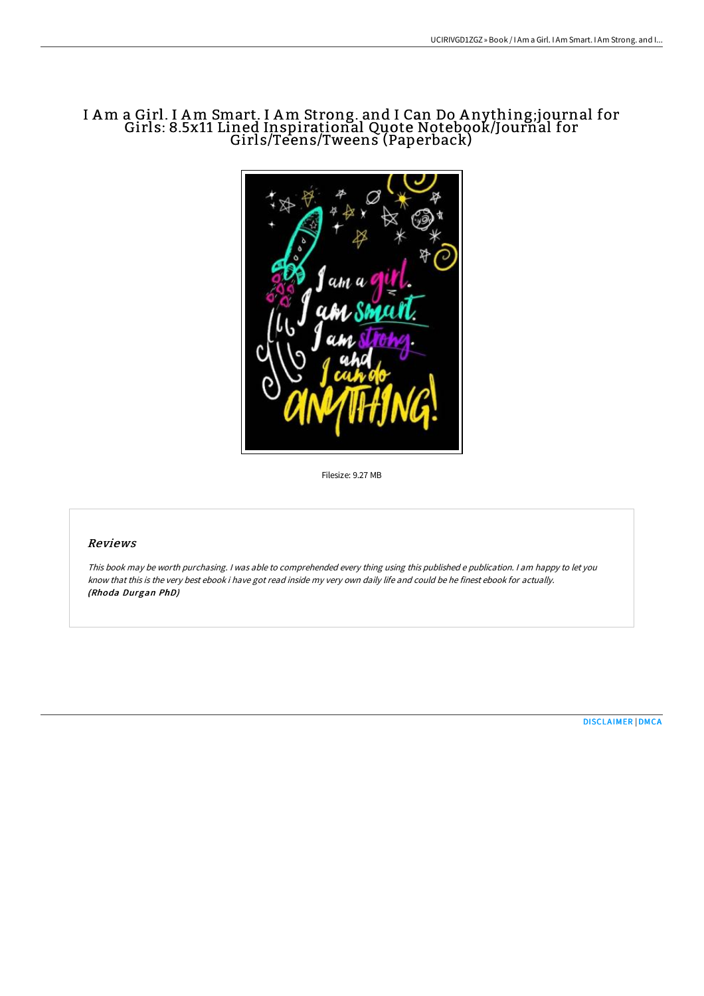# I Am a Girl. I Am Smart. I Am Strong. and I Can Do A nything;journal for Girls: 8.5x11 Lined Inspirational Quote Notebook/Journal for Girls/Teens/Tweens (Paperback)



Filesize: 9.27 MB

## Reviews

This book may be worth purchasing. I was able to comprehended every thing using this published <sup>e</sup> publication. I am happy to let you know that this is the very best ebook i have got read inside my very own daily life and could be he finest ebook for actually. (Rhoda Durgan PhD)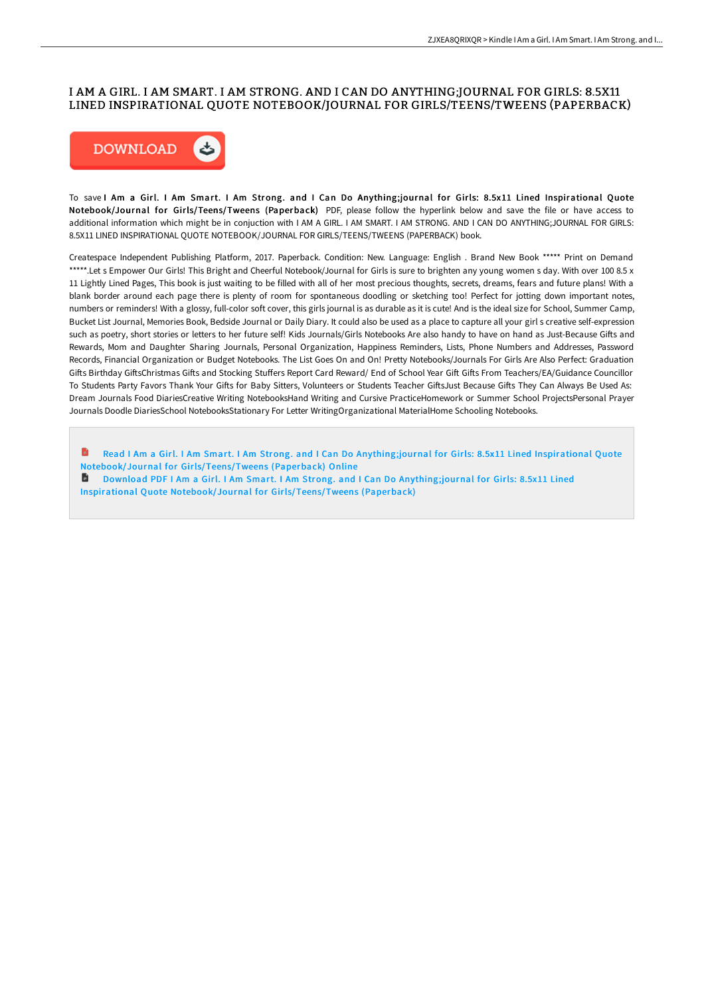#### I AM A GIRL. I AM SMART. I AM STRONG. AND I CAN DO ANYTHING;JOURNAL FOR GIRLS: 8.5X11 LINED INSPIRATIONAL QUOTE NOTEBOOK/JOURNAL FOR GIRLS/TEENS/TWEENS (PAPERBACK)



To save I Am a Girl. I Am Smart. I Am Strong. and I Can Do Anything;journal for Girls: 8.5x11 Lined Inspirational Quote Notebook/Journal for Girls/Teens/Tweens (Paperback) PDF, please follow the hyperlink below and save the file or have access to additional information which might be in conjuction with I AM A GIRL. I AM SMART. I AM STRONG. AND I CAN DO ANYTHING;JOURNAL FOR GIRLS: 8.5X11 LINED INSPIRATIONAL QUOTE NOTEBOOK/JOURNAL FOR GIRLS/TEENS/TWEENS (PAPERBACK) book.

Createspace Independent Publishing Platform, 2017. Paperback. Condition: New. Language: English . Brand New Book \*\*\*\*\* Print on Demand \*\*\*\*\*.Let s Empower Our Girls! This Bright and Cheerful Notebook/Journal for Girls is sure to brighten any young women s day. With over 100 8.5 x 11 Lightly Lined Pages, This book is just waiting to be filled with all of her most precious thoughts, secrets, dreams, fears and future plans! With a blank border around each page there is plenty of room for spontaneous doodling or sketching too! Perfect for jotting down important notes, numbers or reminders! With a glossy, full-color soft cover, this girls journal is as durable as it is cute! And is the ideal size for School, Summer Camp, Bucket List Journal, Memories Book, Bedside Journal or Daily Diary. It could also be used as a place to capture all your girl s creative self-expression such as poetry, short stories or letters to her future self! Kids Journals/Girls Notebooks Are also handy to have on hand as Just-Because Gifts and Rewards, Mom and Daughter Sharing Journals, Personal Organization, Happiness Reminders, Lists, Phone Numbers and Addresses, Password Records, Financial Organization or Budget Notebooks. The List Goes On and On! Pretty Notebooks/Journals For Girls Are Also Perfect: Graduation Gifts Birthday GiftsChristmas Gifts and Stocking Stuffers Report Card Reward/ End of School Year Gift Gifts From Teachers/EA/Guidance Councillor To Students Party Favors Thank Your Gifts for Baby Sitters, Volunteers or Students Teacher GiftsJust Because Gifts They Can Always Be Used As: Dream Journals Food DiariesCreative Writing NotebooksHand Writing and Cursive PracticeHomework or Summer School ProjectsPersonal Prayer Journals Doodle DiariesSchool NotebooksStationary For Letter WritingOrganizational MaterialHome Schooling Notebooks.

Read I Am a Girl. I Am Smart. I Am Strong. and I Can Do Anything;journal for Girls: 8.5x11 Lined Inspirational Quote Notebook/Journal for [Girls/Teens/Tweens](http://albedo.media/i-am-a-girl-i-am-smart-i-am-strong-and-i-can-do--1.html) (Paperback) Online Download PDF I Am a Girl. I Am Smart. I Am Strong. and I Can Do Anything;journal for Girls: 8.5x11 Lined Inspirational Quote Notebook/Journal for [Girls/Teens/Tweens](http://albedo.media/i-am-a-girl-i-am-smart-i-am-strong-and-i-can-do--1.html) (Paperback)